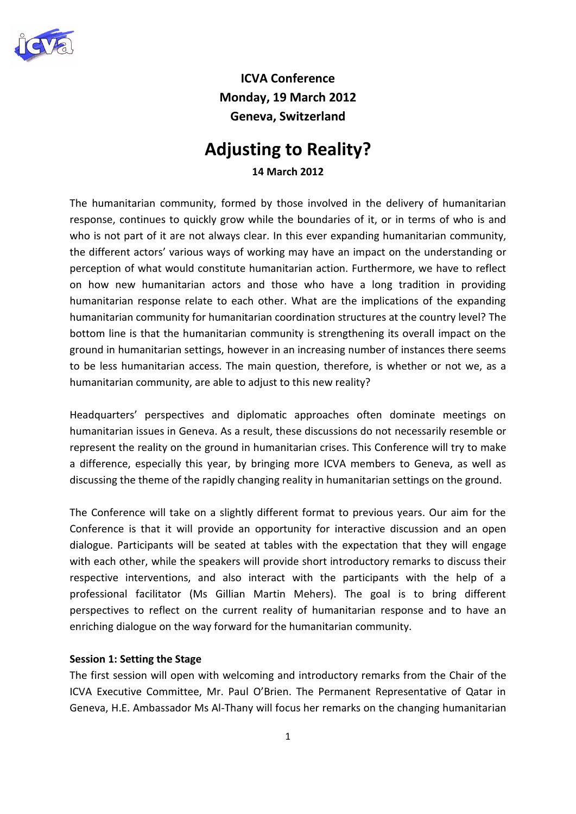

**ICVA Conference Monday, 19 March 2012 Geneva, Switzerland**

# **Adjusting to Reality? 14 March 2012**

The humanitarian community, formed by those involved in the delivery of humanitarian response, continues to quickly grow while the boundaries of it, or in terms of who is and who is not part of it are not always clear. In this ever expanding humanitarian community, the different actors' various ways of working may have an impact on the understanding or perception of what would constitute humanitarian action. Furthermore, we have to reflect on how new humanitarian actors and those who have a long tradition in providing humanitarian response relate to each other. What are the implications of the expanding humanitarian community for humanitarian coordination structures at the country level? The bottom line is that the humanitarian community is strengthening its overall impact on the ground in humanitarian settings, however in an increasing number of instances there seems to be less humanitarian access. The main question, therefore, is whether or not we, as a humanitarian community, are able to adjust to this new reality?

Headquarters' perspectives and diplomatic approaches often dominate meetings on humanitarian issues in Geneva. As a result, these discussions do not necessarily resemble or represent the reality on the ground in humanitarian crises. This Conference will try to make a difference, especially this year, by bringing more ICVA members to Geneva, as well as discussing the theme of the rapidly changing reality in humanitarian settings on the ground.

The Conference will take on a slightly different format to previous years. Our aim for the Conference is that it will provide an opportunity for interactive discussion and an open dialogue. Participants will be seated at tables with the expectation that they will engage with each other, while the speakers will provide short introductory remarks to discuss their respective interventions, and also interact with the participants with the help of a professional facilitator (Ms Gillian Martin Mehers). The goal is to bring different perspectives to reflect on the current reality of humanitarian response and to have an enriching dialogue on the way forward for the humanitarian community.

#### **Session 1: Setting the Stage**

The first session will open with welcoming and introductory remarks from the Chair of the ICVA Executive Committee, Mr. Paul O'Brien. The Permanent Representative of Qatar in Geneva, H.E. Ambassador Ms Al-Thany will focus her remarks on the changing humanitarian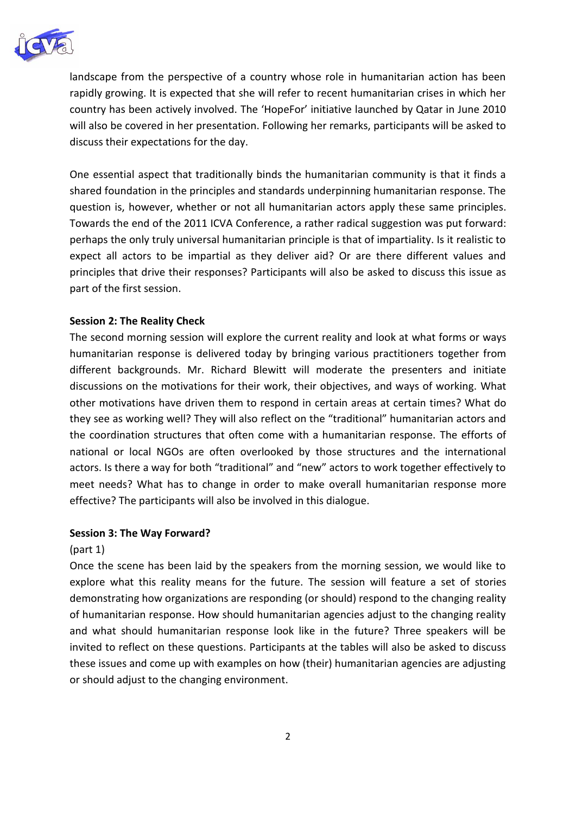

landscape from the perspective of a country whose role in humanitarian action has been rapidly growing. It is expected that she will refer to recent humanitarian crises in which her country has been actively involved. The 'HopeFor' initiative launched by Qatar in June 2010 will also be covered in her presentation. Following her remarks, participants will be asked to discuss their expectations for the day.

One essential aspect that traditionally binds the humanitarian community is that it finds a shared foundation in the principles and standards underpinning humanitarian response. The question is, however, whether or not all humanitarian actors apply these same principles. Towards the end of the 2011 ICVA Conference, a rather radical suggestion was put forward: perhaps the only truly universal humanitarian principle is that of impartiality. Is it realistic to expect all actors to be impartial as they deliver aid? Or are there different values and principles that drive their responses? Participants will also be asked to discuss this issue as part of the first session.

## **Session 2: The Reality Check**

The second morning session will explore the current reality and look at what forms or ways humanitarian response is delivered today by bringing various practitioners together from different backgrounds. Mr. Richard Blewitt will moderate the presenters and initiate discussions on the motivations for their work, their objectives, and ways of working. What other motivations have driven them to respond in certain areas at certain times? What do they see as working well? They will also reflect on the "traditional" humanitarian actors and the coordination structures that often come with a humanitarian response. The efforts of national or local NGOs are often overlooked by those structures and the international actors. Is there a way for both "traditional" and "new" actors to work together effectively to meet needs? What has to change in order to make overall humanitarian response more effective? The participants will also be involved in this dialogue.

#### **Session 3: The Way Forward?**

#### (part 1)

Once the scene has been laid by the speakers from the morning session, we would like to explore what this reality means for the future. The session will feature a set of stories demonstrating how organizations are responding (or should) respond to the changing reality of humanitarian response. How should humanitarian agencies adjust to the changing reality and what should humanitarian response look like in the future? Three speakers will be invited to reflect on these questions. Participants at the tables will also be asked to discuss these issues and come up with examples on how (their) humanitarian agencies are adjusting or should adjust to the changing environment.